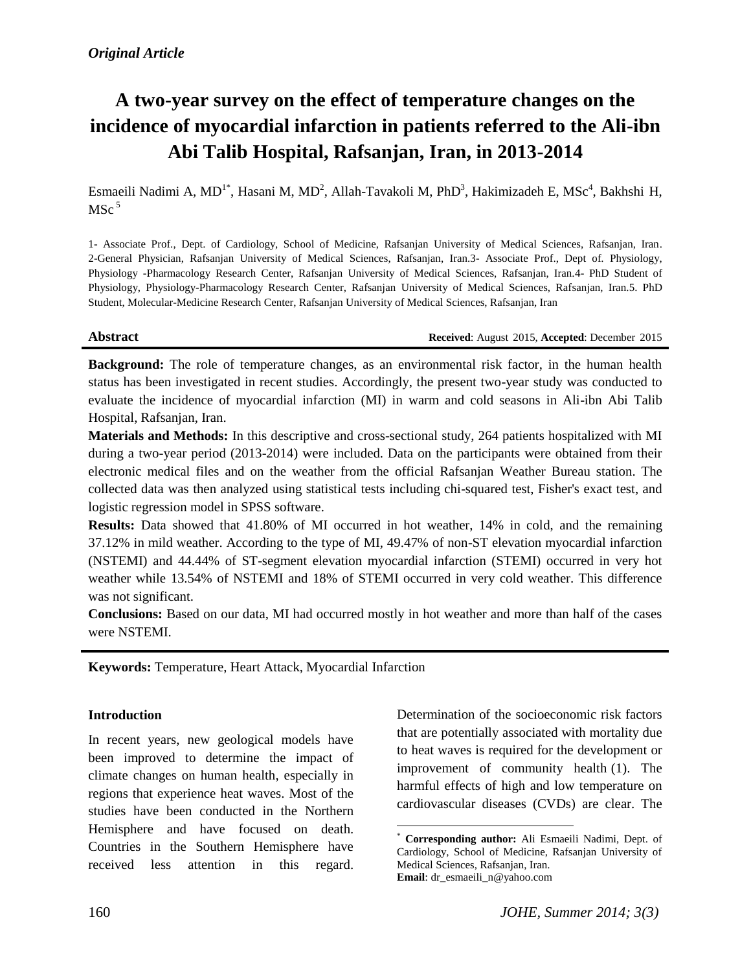# **A two-year survey on the effect of temperature changes on the incidence of myocardial infarction in patients referred to the Ali-ibn Abi Talib Hospital, Rafsanjan, Iran, in 2013-2014**

Esmaeili Nadimi A, MD<sup>1\*</sup>, Hasani M, MD<sup>2</sup>, Allah-Tavakoli M, PhD<sup>3</sup>, Hakimizadeh E, MSc<sup>4</sup>, Bakhshi H,  $MSc<sup>5</sup>$ 

1- Associate Prof., Dept. of Cardiology, School of Medicine, Rafsanjan University of Medical Sciences, Rafsanjan, Iran. 2-General Physician, Rafsanjan University of Medical Sciences, Rafsanjan, Iran.3- Associate Prof., Dept of. Physiology, Physiology -Pharmacology Research Center, Rafsanjan University of Medical Sciences, Rafsanjan, Iran.4- PhD Student of Physiology, Physiology-Pharmacology Research Center, Rafsanjan University of Medical Sciences, Rafsanjan, Iran.5. PhD Student, Molecular-Medicine Research Center, Rafsanjan University of Medical Sciences, Rafsanjan, Iran

**Abstract Received**: August 2015, **Accepted**: December 2015

**Background:** The role of temperature changes, as an environmental risk factor, in the human health status has been investigated in recent studies. Accordingly, the present two-year study was conducted to evaluate the incidence of myocardial infarction (MI) in warm and cold seasons in Ali-ibn Abi Talib Hospital, Rafsanjan, Iran.

**Materials and Methods:** In this descriptive and cross-sectional study, 264 patients hospitalized with MI during a two-year period (2013-2014) were included. Data on the participants were obtained from their electronic medical files and on the weather from the official Rafsanjan Weather Bureau station. The collected data was then analyzed using statistical tests including chi-squared test, Fisher's exact test, and logistic regression model in SPSS software.

**Results:** Data showed that 41.80% of MI occurred in hot weather, 14% in cold, and the remaining 37.12% in mild weather. According to the type of MI, 49.47% of non-ST elevation myocardial infarction (NSTEMI) and 44.44% of ST-segment elevation myocardial infarction (STEMI) occurred in very hot weather while 13.54% of NSTEMI and 18% of STEMI occurred in very cold weather. This difference was not significant.

**Conclusions:** Based on our data, MI had occurred mostly in hot weather and more than half of the cases were NSTEMI.

 $\overline{a}$ 

**Keywords:** Temperature, Heart Attack, Myocardial Infarction

#### **Introduction**

In recent years, new geological models have been improved to determine the impact of climate changes on human health, especially in regions that experience heat waves. Most of the studies have been conducted in the Northern Hemisphere and have focused on death. Countries in the Southern Hemisphere have received less attention in this regard.

Determination of the socioeconomic risk factors that are potentially associated with mortality due to heat waves is required for the development or improvement of community health (1). The harmful effects of high and low temperature on cardiovascular diseases (CVDs) are clear. The

<sup>\*</sup> **Corresponding author:** Ali Esmaeili Nadimi, Dept. of Cardiology, School of Medicine, Rafsanjan University of Medical Sciences, Rafsanjan, Iran. **Email**: [dr\\_esmaeili\\_n@yahoo.com](mailto:dr_esmaeili_n@yahoo.com)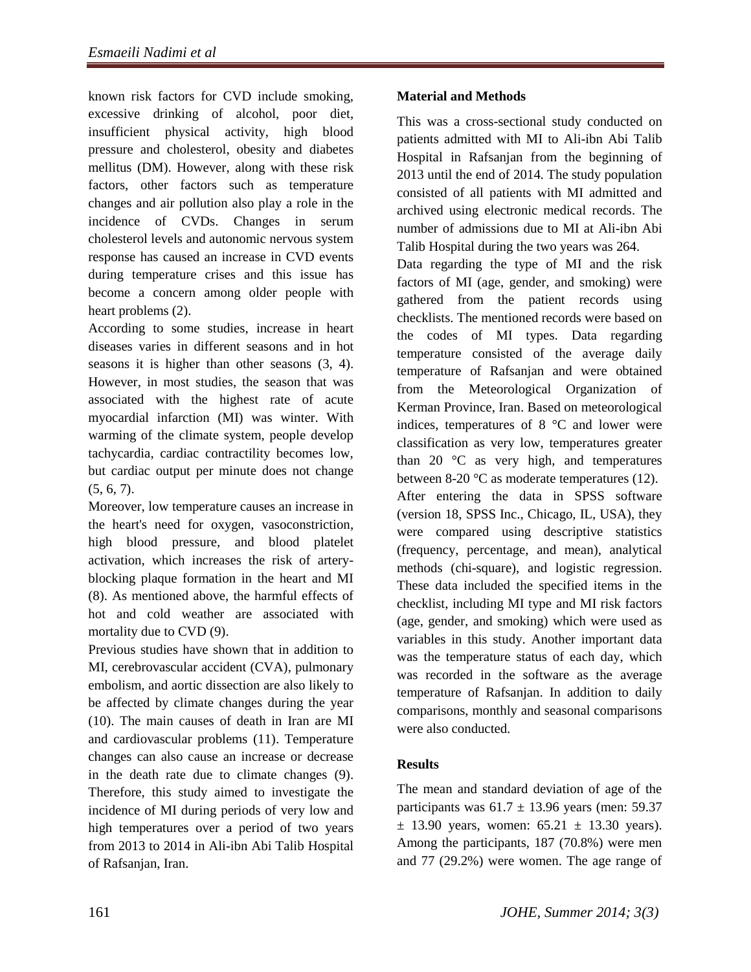known risk factors for CVD include smoking, excessive drinking of alcohol, poor diet, insufficient physical activity, high blood pressure and cholesterol, obesity and diabetes mellitus (DM). However, along with these risk factors, other factors such as temperature changes and air pollution also play a role in the incidence of CVDs. Changes in serum cholesterol levels and autonomic nervous system response has caused an increase in CVD events during temperature crises and this issue has become a concern among older people with heart problems (2).

According to some studies, increase in heart diseases varies in different seasons and in hot seasons it is higher than other seasons (3, 4). However, in most studies, the season that was associated with the highest rate of acute myocardial infarction (MI) was winter. With warming of the climate system, people develop tachycardia, cardiac contractility becomes low, but cardiac output per minute does not change  $(5, 6, 7)$ .

Moreover, low temperature causes an increase in the heart's need for oxygen, vasoconstriction, high blood pressure, and blood platelet activation, which increases the risk of arteryblocking plaque formation in the heart and MI (8). As mentioned above, the harmful effects of hot and cold weather are associated with mortality due to CVD (9).

Previous studies have shown that in addition to MI, cerebrovascular accident (CVA), pulmonary embolism, and aortic dissection are also likely to be affected by climate changes during the year (10). The main causes of death in Iran are MI and cardiovascular problems (11). Temperature changes can also cause an increase or decrease in the death rate due to climate changes (9). Therefore, this study aimed to investigate the incidence of MI during periods of very low and high temperatures over a period of two years from 2013 to 2014 in Ali-ibn Abi Talib Hospital of Rafsanjan, Iran.

### **Material and Methods**

This was a cross-sectional study conducted on patients admitted with MI to Ali-ibn Abi Talib Hospital in Rafsanjan from the beginning of 2013 until the end of 2014. The study population consisted of all patients with MI admitted and archived using electronic medical records. The number of admissions due to MI at Ali-ibn Abi Talib Hospital during the two years was 264.

Data regarding the type of MI and the risk factors of MI (age, gender, and smoking) were gathered from the patient records using checklists. The mentioned records were based on the codes of MI types. Data regarding temperature consisted of the average daily temperature of Rafsanjan and were obtained from the Meteorological Organization of Kerman Province, Iran. Based on meteorological indices, temperatures of 8 °C and lower were classification as very low, temperatures greater than 20 $\degree$ C as very high, and temperatures between 8-20 °C as moderate temperatures (12). After entering the data in SPSS software (version 18, SPSS Inc., Chicago, IL, USA), they were compared using descriptive statistics (frequency, percentage, and mean), analytical methods (chi-square), and logistic regression. These data included the specified items in the checklist, including MI type and MI risk factors (age, gender, and smoking) which were used as variables in this study. Another important data was the temperature status of each day, which was recorded in the software as the average temperature of Rafsanjan. In addition to daily comparisons, monthly and seasonal comparisons were also conducted.

#### **Results**

The mean and standard deviation of age of the participants was  $61.7 \pm 13.96$  years (men: 59.37  $\pm$  13.90 years, women: 65.21  $\pm$  13.30 years). Among the participants, 187 (70.8%) were men and 77 (29.2%) were women. The age range of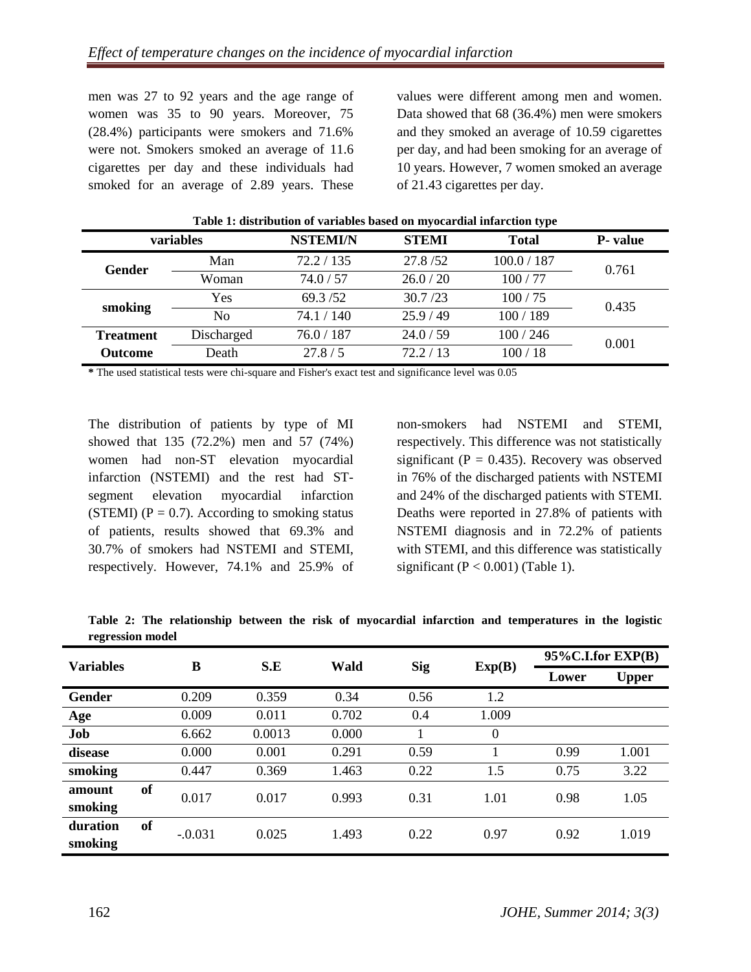men was 27 to 92 years and the age range of women was 35 to 90 years. Moreover, 75 (28.4%) participants were smokers and 71.6% were not. Smokers smoked an average of 11.6 cigarettes per day and these individuals had smoked for an average of 2.89 years. These

values were different among men and women. Data showed that 68 (36.4%) men were smokers and they smoked an average of 10.59 cigarettes per day, and had been smoking for an average of 10 years. However, 7 women smoked an average of 21.43 cigarettes per day.

|                  |            |                 | $\sim$       | . .          |          |  |
|------------------|------------|-----------------|--------------|--------------|----------|--|
| variables        |            | <b>NSTEMI/N</b> | <b>STEMI</b> | <b>Total</b> | P- value |  |
| Gender           | Man        | 72.2 / 135      | 27.8/52      | 100.0 / 187  | 0.761    |  |
|                  | Woman      | 74.0 / 57       | 26.0 / 20    | 100/77       |          |  |
| smoking          | Yes        | 69.3/52         | 30.7 / 23    | 100/75       | 0.435    |  |
|                  | No         | 74.1 / 140      | 25.9/49      | 100/189      |          |  |
| <b>Treatment</b> | Discharged | 76.0 / 187      | 24.0 / 59    | 100/246      | 0.001    |  |
| <b>Outcome</b>   | Death      | 27.8 / 5        | 72.2 / 13    | 100/18       |          |  |

**Table 1: distribution of variables based on myocardial infarction type**

**\*** The used statistical tests were chi-square and Fisher's exact test and significance level was 0.05

The distribution of patients by type of MI showed that 135 (72.2%) men and 57 (74%) women had non-ST elevation myocardial infarction (NSTEMI) and the rest had STsegment elevation myocardial infarction (STEMI) ( $P = 0.7$ ). According to smoking status of patients, results showed that 69.3% and 30.7% of smokers had NSTEMI and STEMI, respectively. However, 74.1% and 25.9% of

non-smokers had NSTEMI and STEMI, respectively. This difference was not statistically significant ( $P = 0.435$ ). Recovery was observed in 76% of the discharged patients with NSTEMI and 24% of the discharged patients with STEMI. Deaths were reported in 27.8% of patients with NSTEMI diagnosis and in 72.2% of patients with STEMI, and this difference was statistically significant ( $P < 0.001$ ) (Table 1).

**Table 2: The relationship between the risk of myocardial infarction and temperatures in the logistic regression model**

| <b>Variables</b> |           | B         | S.E    | Wald  | <b>Sig</b> | Exp(B)   | $95\%$ C.I.for EXP(B) |              |
|------------------|-----------|-----------|--------|-------|------------|----------|-----------------------|--------------|
|                  |           |           |        |       |            |          | Lower                 | <b>Upper</b> |
| Gender           |           | 0.209     | 0.359  | 0.34  | 0.56       | 1.2      |                       |              |
| Age              |           | 0.009     | 0.011  | 0.702 | 0.4        | 1.009    |                       |              |
| Job              |           | 6.662     | 0.0013 | 0.000 |            | $\Omega$ |                       |              |
| disease          |           | 0.000     | 0.001  | 0.291 | 0.59       |          | 0.99                  | 1.001        |
| smoking          |           | 0.447     | 0.369  | 1.463 | 0.22       | 1.5      | 0.75                  | 3.22         |
| amount           | <b>of</b> | 0.017     | 0.017  | 0.993 | 0.31       | 1.01     | 0.98                  | 1.05         |
| smoking          |           |           |        |       |            |          |                       |              |
| duration         | <b>of</b> | $-.0.031$ | 0.025  | 1.493 | 0.22       | 0.97     | 0.92                  | 1.019        |
| smoking          |           |           |        |       |            |          |                       |              |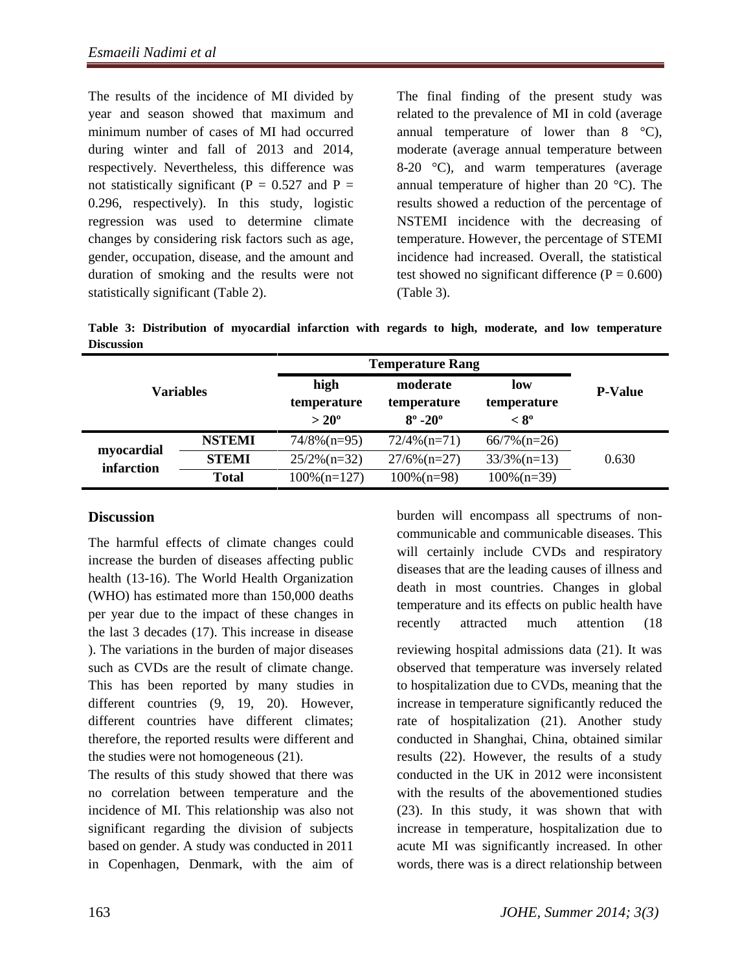The results of the incidence of MI divided by year and season showed that maximum and minimum number of cases of MI had occurred during winter and fall of 2013 and 2014, respectively. Nevertheless, this difference was not statistically significant ( $P = 0.527$  and  $P =$ 0.296, respectively). In this study, logistic regression was used to determine climate changes by considering risk factors such as age, gender, occupation, disease, and the amount and duration of smoking and the results were not statistically significant (Table 2).

The final finding of the present study was related to the prevalence of MI in cold (average annual temperature of lower than  $8 \degree$ C), moderate (average annual temperature between 8-20 °C), and warm temperatures (average annual temperature of higher than 20 °C). The results showed a reduction of the percentage of NSTEMI incidence with the decreasing of temperature. However, the percentage of STEMI incidence had increased. Overall, the statistical test showed no significant difference  $(P = 0.600)$ (Table 3).

**Table 3: Distribution of myocardial infarction with regards to high, moderate, and low temperature Discussion** 

|                          |               | <b>Temperature Rang</b>      |                                           |                              |                |  |
|--------------------------|---------------|------------------------------|-------------------------------------------|------------------------------|----------------|--|
| <b>Variables</b>         |               | high                         | moderate                                  | low                          | <b>P-Value</b> |  |
|                          |               | temperature<br>$>20^{\circ}$ | temperature<br>$8^{\circ}$ -20 $^{\circ}$ | temperature<br>$< 8^{\circ}$ |                |  |
| myocardial<br>infarction | <b>NSTEMI</b> | $74/8\%$ (n=95)              | $72/4\%$ (n=71)                           | $66/7\%$ (n=26)              |                |  |
|                          | <b>STEMI</b>  | $25/2\%$ (n=32)              | $27/6\%$ (n=27)                           | $33/3\%$ (n=13)              | 0.630          |  |
|                          | <b>Total</b>  | $100\%$ (n=127)              | $100\%$ (n=98)                            | $100\%$ (n=39)               |                |  |

# **Discussion**

The harmful effects of climate changes could increase the burden of diseases affecting public health (13-16). The World Health Organization (WHO) has estimated more than 150,000 deaths per year due to the impact of these changes in the last 3 decades (17). This increase in disease ). The variations in the burden of major diseases such as CVDs are the result of climate change. This has been reported by many studies in different countries  $(9, 19, 20)$ . However, different countries have different climates; therefore, the reported results were different and the studies were not homogeneous (21).

The results of this study showed that there was no correlation between temperature and the incidence of MI. This relationship was also not significant regarding the division of subjects based on gender. A study was conducted in 2011 in Copenhagen, Denmark, with the aim of

burden will encompass all spectrums of noncommunicable and communicable diseases. This will certainly include CVDs and respiratory diseases that are the leading causes of illness and death in most countries. Changes in global temperature and its effects on public health have recently attracted much attention (18

reviewing hospital admissions data (21). It was observed that temperature was inversely related to hospitalization due to CVDs, meaning that the increase in temperature significantly reduced the rate of hospitalization (21). Another study conducted in Shanghai, China, obtained similar results (22). However, the results of a study conducted in the UK in 2012 were inconsistent with the results of the abovementioned studies (23). In this study, it was shown that with increase in temperature, hospitalization due to acute MI was significantly increased. In other words, there was is a direct relationship between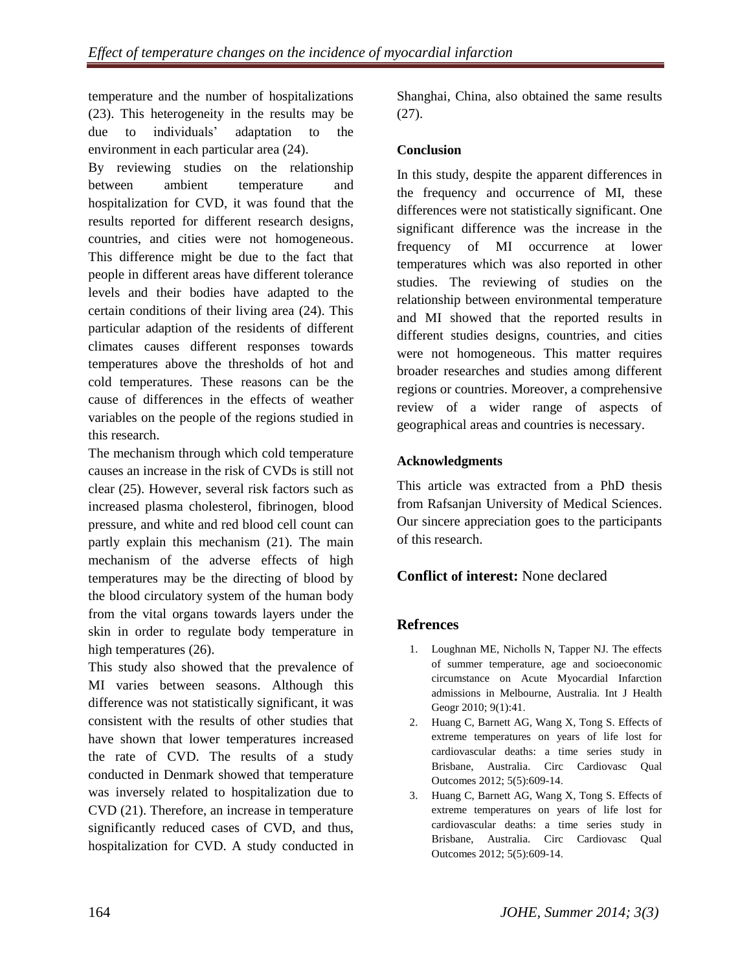temperature and the number of hospitalizations (23). This heterogeneity in the results may be due to individuals' adaptation to the environment in each particular area (24).

By reviewing studies on the relationship between ambient temperature and hospitalization for CVD, it was found that the results reported for different research designs, countries, and cities were not homogeneous. This difference might be due to the fact that people in different areas have different tolerance levels and their bodies have adapted to the certain conditions of their living area (24). This particular adaption of the residents of different climates causes different responses towards temperatures above the thresholds of hot and cold temperatures. These reasons can be the cause of differences in the effects of weather variables on the people of the regions studied in this research.

The mechanism through which cold temperature causes an increase in the risk of CVDs is still not clear (25). However, several risk factors such as increased plasma cholesterol, fibrinogen, blood pressure, and white and red blood cell count can partly explain this mechanism (21). The main mechanism of the adverse effects of high temperatures may be the directing of blood by the blood circulatory system of the human body from the vital organs towards layers under the skin in order to regulate body temperature in high temperatures  $(26)$ .

This study also showed that the prevalence of MI varies between seasons. Although this difference was not statistically significant, it was consistent with the results of other studies that have shown that lower temperatures increased the rate of CVD. The results of a study conducted in Denmark showed that temperature was inversely related to hospitalization due to CVD (21). Therefore, an increase in temperature significantly reduced cases of CVD, and thus, hospitalization for CVD. A study conducted in

Shanghai, China, also obtained the same results (27).

## **Conclusion**

In this study, despite the apparent differences in the frequency and occurrence of MI, these differences were not statistically significant. One significant difference was the increase in the frequency of MI occurrence at lower temperatures which was also reported in other studies. The reviewing of studies on the relationship between environmental temperature and MI showed that the reported results in different studies designs, countries, and cities were not homogeneous. This matter requires broader researches and studies among different regions or countries. Moreover, a comprehensive review of a wider range of aspects of geographical areas and countries is necessary.

### **Acknowledgments**

This article was extracted from a PhD thesis from Rafsanjan University of Medical Sciences. Our sincere appreciation goes to the participants of this research.

# **Conflict of interest:** None declared

# **Refrences**

- 1. Loughnan ME, Nicholls N, Tapper NJ. The effects of summer temperature, age and socioeconomic circumstance on Acute Myocardial Infarction admissions in Melbourne, Australia. Int J Health Geogr 2010; 9(1):41.
- 2. Huang C, Barnett AG, Wang X, Tong S. Effects of extreme temperatures on years of life lost for cardiovascular deaths: a time series study in Brisbane, Australia. Circ Cardiovasc Qual Outcomes 2012; 5(5):609-14.
- 3. Huang C, Barnett AG, Wang X, Tong S. Effects of extreme temperatures on years of life lost for cardiovascular deaths: a time series study in Brisbane, Australia. Circ Cardiovasc Qual Outcomes 2012; 5(5):609-14.